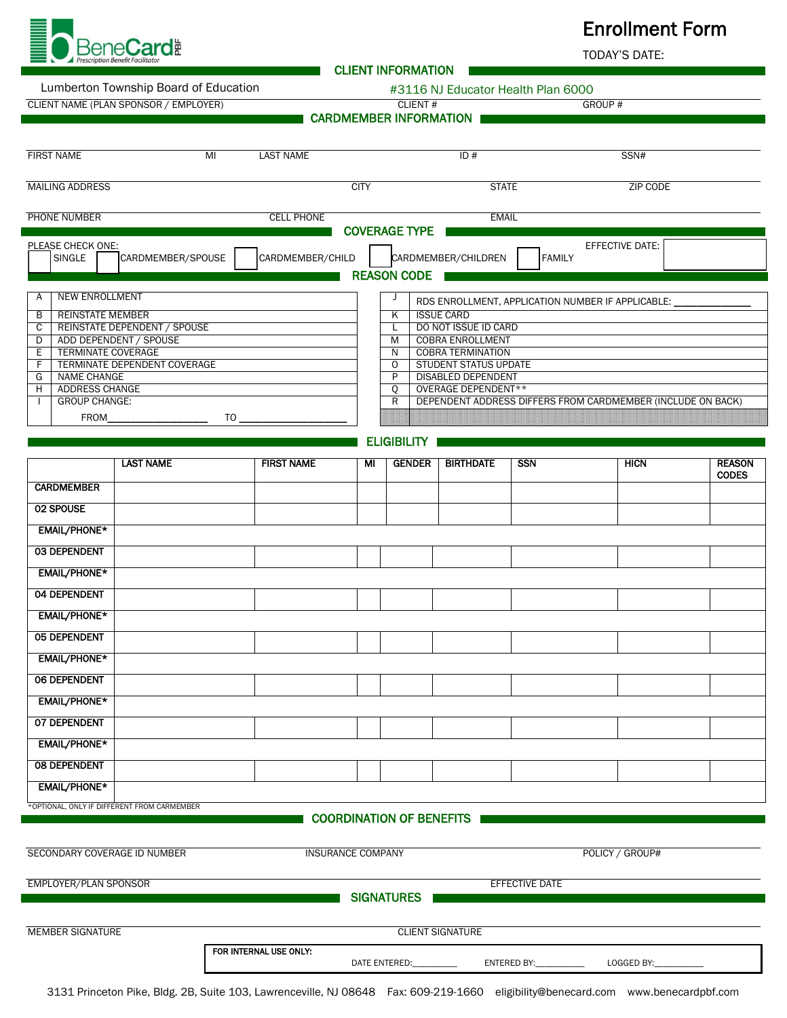

## Enrollment Form

TODAY'S DATE:

| Lumberton Township Board of Education |  |  |
|---------------------------------------|--|--|
|                                       |  |  |

n and Township Board #3116 NJ Educator Health Plan 6000

CLIENT INFORMATION

|                                                             | CLIENT NAME (PLAN SPONSOR / EMPLOYER)      |                   |             | CLIENT#<br><b>CARDMEMBER INFORMATION</b> |                                                          |            | GROUP#                                                      |               |
|-------------------------------------------------------------|--------------------------------------------|-------------------|-------------|------------------------------------------|----------------------------------------------------------|------------|-------------------------------------------------------------|---------------|
|                                                             |                                            |                   |             |                                          |                                                          |            |                                                             |               |
| <b>FIRST NAME</b>                                           | M <sub>l</sub>                             | <b>LAST NAME</b>  |             |                                          | ID#                                                      |            | SSN#                                                        |               |
|                                                             |                                            |                   |             |                                          |                                                          |            |                                                             |               |
| <b>MAILING ADDRESS</b>                                      |                                            |                   | <b>CITY</b> |                                          | <b>STATE</b>                                             |            | ZIP CODE                                                    |               |
| PHONE NUMBER                                                |                                            | <b>CELL PHONE</b> |             |                                          | <b>EMAIL</b>                                             |            |                                                             |               |
| PLEASE CHECK ONE:                                           |                                            |                   |             | <b>COVERAGE TYPE</b>                     |                                                          |            | EFFECTIVE DATE:                                             |               |
| SINGLE                                                      | CARDMEMBER/SPOUSE                          | CARDMEMBER/CHILD  |             |                                          | CARDMEMBER/CHILDREN                                      | FAMILY     |                                                             |               |
|                                                             |                                            |                   |             | <b>REASON CODE</b>                       |                                                          |            |                                                             |               |
| <b>NEW ENROLLMENT</b><br>Α                                  |                                            |                   |             | J                                        |                                                          |            | RDS ENROLLMENT, APPLICATION NUMBER IF APPLICABLE:           |               |
| <b>REINSTATE MEMBER</b><br>B<br>С                           | REINSTATE DEPENDENT / SPOUSE               |                   |             | Κ<br>L                                   | <b>ISSUE CARD</b><br>DO NOT ISSUE ID CARD                |            |                                                             |               |
| D                                                           | ADD DEPENDENT / SPOUSE                     |                   |             | M                                        | <b>COBRA ENROLLMENT</b>                                  |            |                                                             |               |
| <b>TERMINATE COVERAGE</b><br>Ε<br>F                         | TERMINATE DEPENDENT COVERAGE               |                   |             | N<br>$\circ$                             | <b>COBRA TERMINATION</b><br><b>STUDENT STATUS UPDATE</b> |            |                                                             |               |
| <b>NAME CHANGE</b><br>G                                     |                                            |                   |             | P                                        | <b>DISABLED DEPENDENT</b>                                |            |                                                             |               |
| ADDRESS CHANGE<br>н<br><b>GROUP CHANGE:</b><br>$\mathbf{I}$ |                                            |                   |             | Q<br>R                                   | OVERAGE DEPENDENT**                                      |            | DEPENDENT ADDRESS DIFFERS FROM CARDMEMBER (INCLUDE ON BACK) |               |
| FROM                                                        | $T$ <sup>O</sup>                           |                   |             |                                          |                                                          |            |                                                             |               |
|                                                             |                                            |                   |             | <b>ELIGIBILITY</b>                       |                                                          |            |                                                             |               |
|                                                             |                                            |                   |             |                                          |                                                          |            |                                                             | <b>REASON</b> |
|                                                             | <b>LAST NAME</b>                           | <b>FIRST NAME</b> | ΜI          | <b>GENDER</b>                            | <b>BIRTHDATE</b>                                         | <b>SSN</b> | <b>HICN</b>                                                 | <b>CODES</b>  |
| <b>CARDMEMBER</b>                                           |                                            |                   |             |                                          |                                                          |            |                                                             |               |
| 02 SPOUSE                                                   |                                            |                   |             |                                          |                                                          |            |                                                             |               |
| <b>EMAIL/PHONE*</b>                                         |                                            |                   |             |                                          |                                                          |            |                                                             |               |
| <b>03 DEPENDENT</b>                                         |                                            |                   |             |                                          |                                                          |            |                                                             |               |
| <b>EMAIL/PHONE*</b>                                         |                                            |                   |             |                                          |                                                          |            |                                                             |               |
| 04 DEPENDENT                                                |                                            |                   |             |                                          |                                                          |            |                                                             |               |
| <b>EMAIL/PHONE*</b>                                         |                                            |                   |             |                                          |                                                          |            |                                                             |               |
| <b>05 DEPENDENT</b>                                         |                                            |                   |             |                                          |                                                          |            |                                                             |               |
| <b>EMAIL/PHONE*</b>                                         |                                            |                   |             |                                          |                                                          |            |                                                             |               |
| 06 DEPENDENT                                                |                                            |                   |             |                                          |                                                          |            |                                                             |               |
| <b>EMAIL/PHONE*</b>                                         |                                            |                   |             |                                          |                                                          |            |                                                             |               |
| 07 DEPENDENT                                                |                                            |                   |             |                                          |                                                          |            |                                                             |               |
| <b>EMAIL/PHONE*</b>                                         |                                            |                   |             |                                          |                                                          |            |                                                             |               |
| <b>08 DEPENDENT</b>                                         |                                            |                   |             |                                          |                                                          |            |                                                             |               |
| <b>EMAIL/PHONE*</b>                                         |                                            |                   |             |                                          |                                                          |            |                                                             |               |
|                                                             | OPTIONAL, ONLY IF DIFFERENT FROM CARMEMBER |                   |             |                                          |                                                          |            |                                                             |               |
|                                                             |                                            |                   |             | <b>COORDINATION OF BENEFITS</b>          |                                                          |            |                                                             |               |
|                                                             |                                            |                   |             |                                          |                                                          |            |                                                             |               |

3131 Princeton Pike, Bldg. 2B, Suite 103, Lawrenceville, NJ 08648 Fax: 609-219-1660 eligibility@benecard.com [www.benecardpbf.com](http://www.benecardpbf.com/) FOR INTERNAL USE ONLY: DATE ENTERED:\_\_\_\_\_\_\_\_\_\_ ENTERED BY:\_\_\_\_\_\_\_\_\_\_\_ LOGGED BY:\_\_\_\_\_\_\_\_\_\_\_

SIGNATURES

EMPLOYER/PLAN SPONSOR EFFECTIVE DATE

MEMBER SIGNATURE CLIENT SIGNATURE CLIENT SIGNATURE